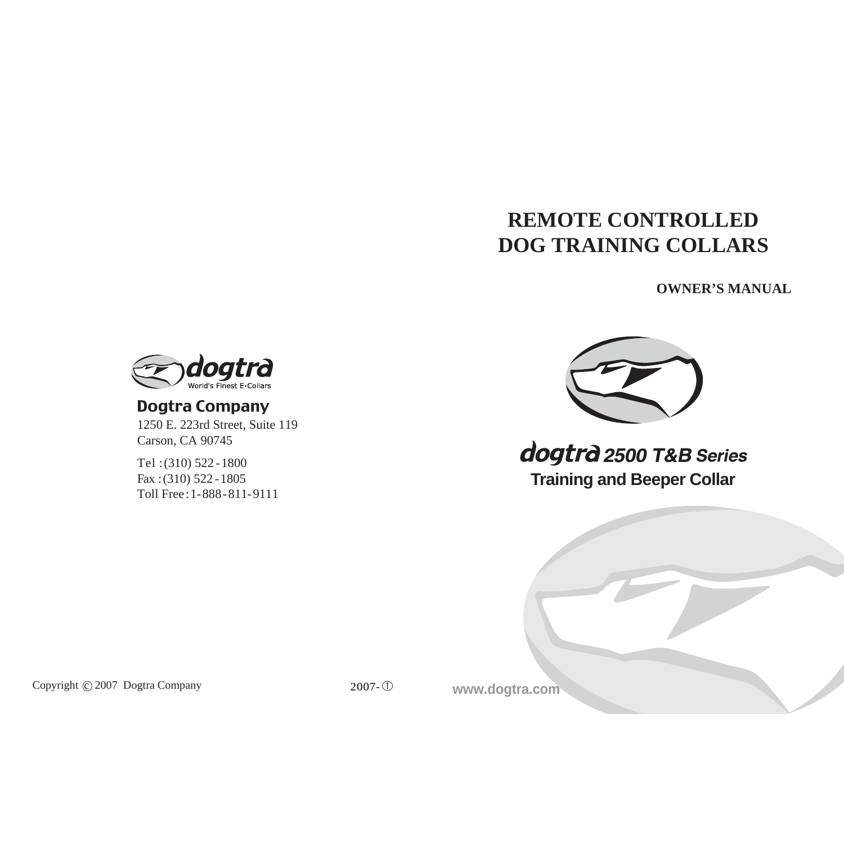# **REMOTE CONTROLLED DOG TRAINING COLLARS**

**OWNER'S MANUAL**



# **Dogtra Company**

1250 E. 223rd Street, Suite 119 Carson, CA 90745

Tel :(310) 522 -1800 Fax :(310) 522 -1805 Toll Free:1-888-811-9111



dogtrà 2500 T&B Series **Training and Beeper Collar**



Copyright  $\odot$  2007 Dogtra Company

2007-<sup>①</sup> **www.dogtra.com**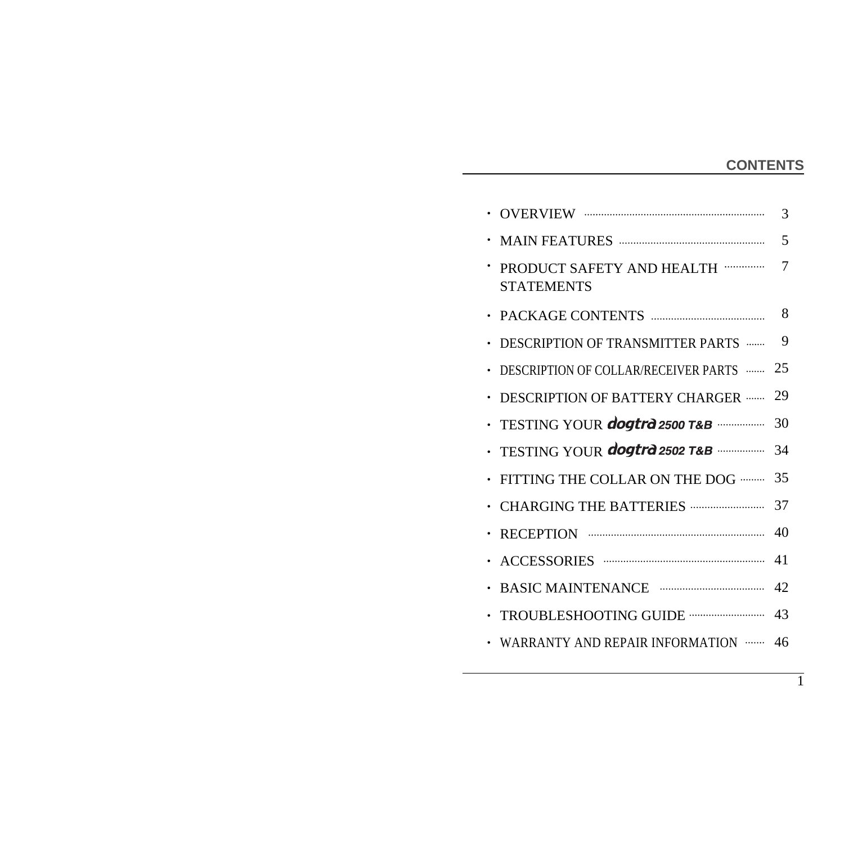# **CONTENTS**

1

|                                                               | 3                                                     |
|---------------------------------------------------------------|-------------------------------------------------------|
|                                                               | 5                                                     |
| PRODUCT SAFETY AND HEALTH ··············<br><b>STATEMENTS</b> | 7                                                     |
|                                                               | 8                                                     |
| DESCRIPTION OF TRANSMITTER PARTS                              | 9                                                     |
| DESCRIPTION OF COLLAR/RECEIVER PARTS                          | 25                                                    |
| DESCRIPTION OF BATTERY CHARGER                                | 29                                                    |
|                                                               | 30                                                    |
| TESTING YOUR dogtra 2502 T&B                                  | 34                                                    |
| FITTING THE COLLAR ON THE DOG                                 | 35                                                    |
| <b>CHARGING THE BATTERIES </b>                                | 37                                                    |
|                                                               | 40                                                    |
|                                                               | 41                                                    |
|                                                               | 42                                                    |
| TROUBLESHOOTING GUIDE ------------------------                | 43                                                    |
| WARRANTY AND REPAIR INFORMATION                               | 46                                                    |
|                                                               | · TESTING YOUR <b>dogtrd</b> 2500 T&B ··············· |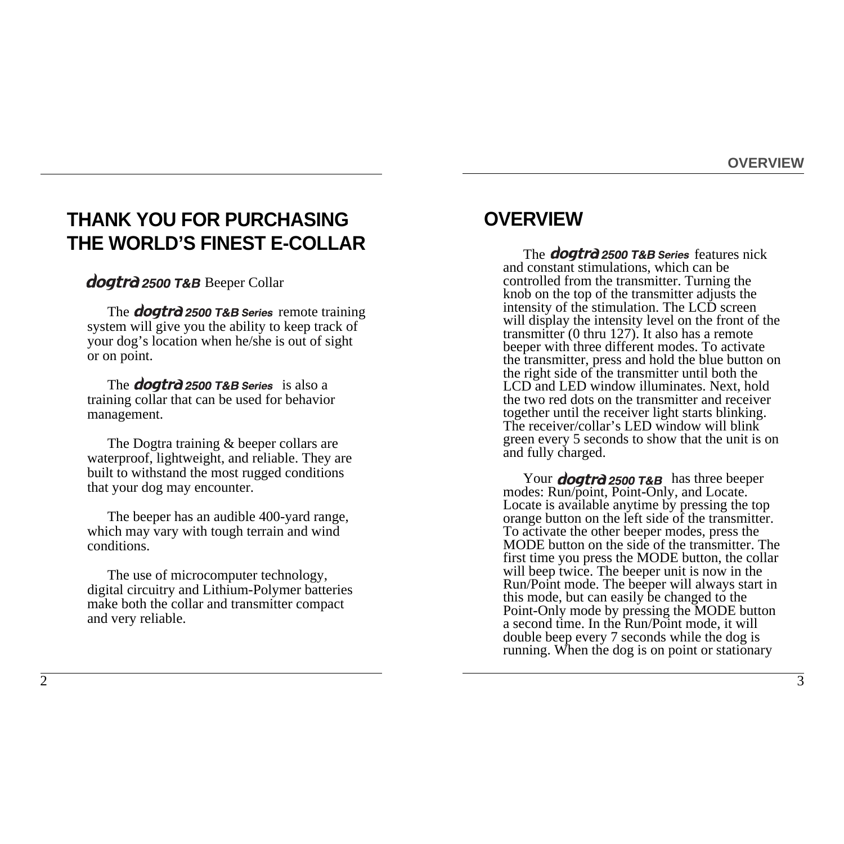# **THANK YOU FOR PURCHASING THE WORLD'S FINEST E-COLLAR**

**dogtrd 2500 T&B** Beeper Collar

The **dogtrd 2500 T&B Series** remote training system will give you the ability to keep track of your dog's location when he/she is out of sight or on point.

The **dogtrd** 2500 T&B Series is also a training collar that can be used for behavior management.

The Dogtra training & beeper collars are waterproof, lightweight, and reliable. They are built to withstand the most rugged conditions that your dog may encounter.

The beeper has an audible 400-yard range, which may vary with tough terrain and wind conditions.

The use of microcomputer technology, digital circuitry and Lithium-Polymer batteries make both the collar and transmitter compact and very reliable.

# **OVERVIEW**

The *dogtrd* 2500 T&B Series features nick and constant stimulations, which can be controlled from the transmitter. Turning the knob on the top of the transmitter adjusts the intensity of the stimulation. The LCD screen will display the intensity level on the front of the transmitter (0 thru 127). It also has a remote beeper with three different modes. To activate the transmitter, press and hold the blue button on the right side of the transmitter until both the LCD and LED window illuminates. Next, hold the two red dots on the transmitter and receiver together until the receiver light starts blinking. The receiver/collar's LED window will blink green every 5 seconds to show that the unit is on and fully charged.

Your **dogtrd** 2500 T&B has three beeper modes: Run/point, Point-Only, and Locate. Locate is available anytime by pressing the top orange button on the left side of the transmitter. To activate the other beeper modes, press the MODE button on the side of the transmitter. The first time you press the MODE button, the collar will beep twice. The beeper unit is now in the Run/Point mode. The beeper will always start in this mode, but can easily be changed to the Point-Only mode by pressing the MODE button a second time. In the Run/Point mode, it will double beep every 7 seconds while the dog is running. When the dog is on point or stationary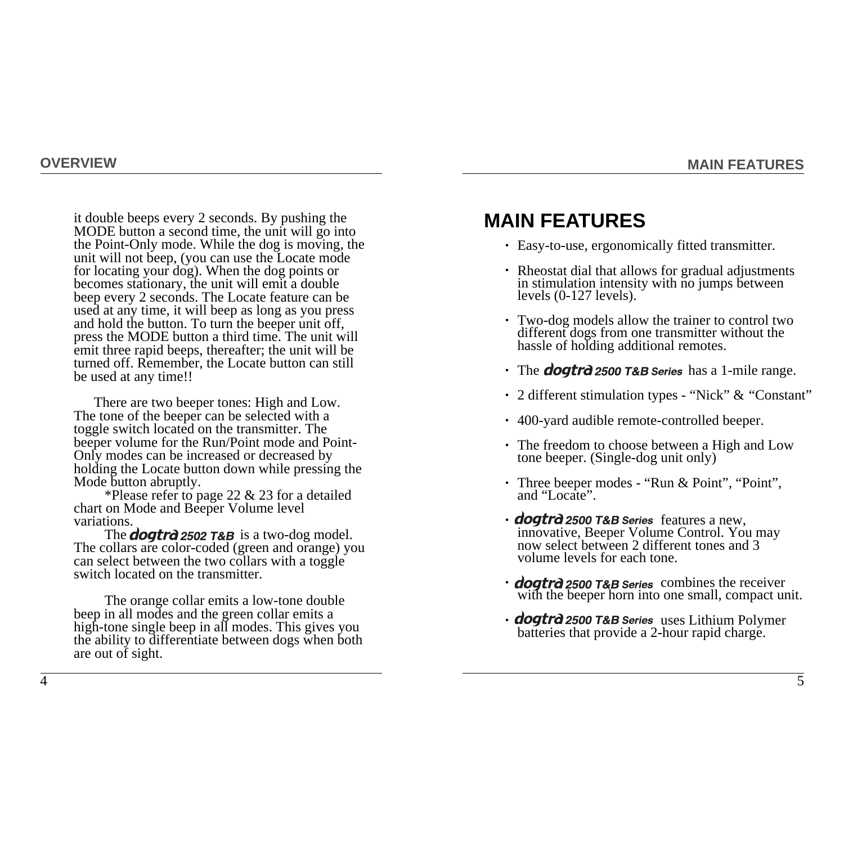it double beeps every 2 seconds. By pushing the MODE button a second time, the unit will go into the Point-Only mode. While the dog is moving, the unit will not beep, (you can use the Locate mode for locating your dog). When the dog points or becomes stationary, the unit will emit a double beep every 2 seconds. The Locate feature can be used at any time, it will beep as long as you press and hold the button. To turn the beeper unit off, press the MODE button a third time. The unit will emit three rapid beeps, thereafter; the unit will be turned off. Remember, the Locate button can still be used at any time!!

There are two beeper tones: High and Low. The tone of the beeper can be selected with a toggle switch located on the transmitter. The beeper volume for the Run/Point mode and Point-Only modes can be increased or decreased by holding the Locate button down while pressing the Mode button abruptly.

\*Please refer to page 22 & 23 for a detailed chart on Mode and Beeper Volume level variations.

The **dogtrd** 2502 T&B is a two-dog model. The collars are color-coded (green and orange) you can select between the two collars with a toggle switch located on the transmitter.

The orange collar emits a low-tone double beep in all modes and the green collar emits a high-tone single beep in all modes. This gives you the ability to differentiate between dogs when both are out of sight.

# **MAIN FEATURES**

- Easy-to-use, ergonomically fitted transmitter. •
- in stimulation intensity with no jumps between levels (0-127 levels). • Rheostat dial that allows for gradual adjustments
- Two-dog models allow the trainer to control two different dogs from one transmitter without the hassle of holding additional remotes. •
- The **dogtrd** 2500 T&B Series has a 1-mile range.
- 2 different stimulation types "Nick" & "Constant"
- 400-yard audible remote-controlled beeper. •
- The freedom to choose between a High and Low tone beeper. (Single-dog unit only) •
- Three beeper modes "Run & Point", "Point", and "Locate".
- **dogtrd** 2500 T&B Series features a new, innovative, Beeper Volume Control. You may now select between 2 different tones and 3 volume levels for each tone.
- *doatrd* 2500 T&B Series combines the receiver with the beeper horn into one small, compact unit.
- **dogtrd** 2500 T&B Series uses Lithium Polymer batteries that provide a 2-hour rapid charge.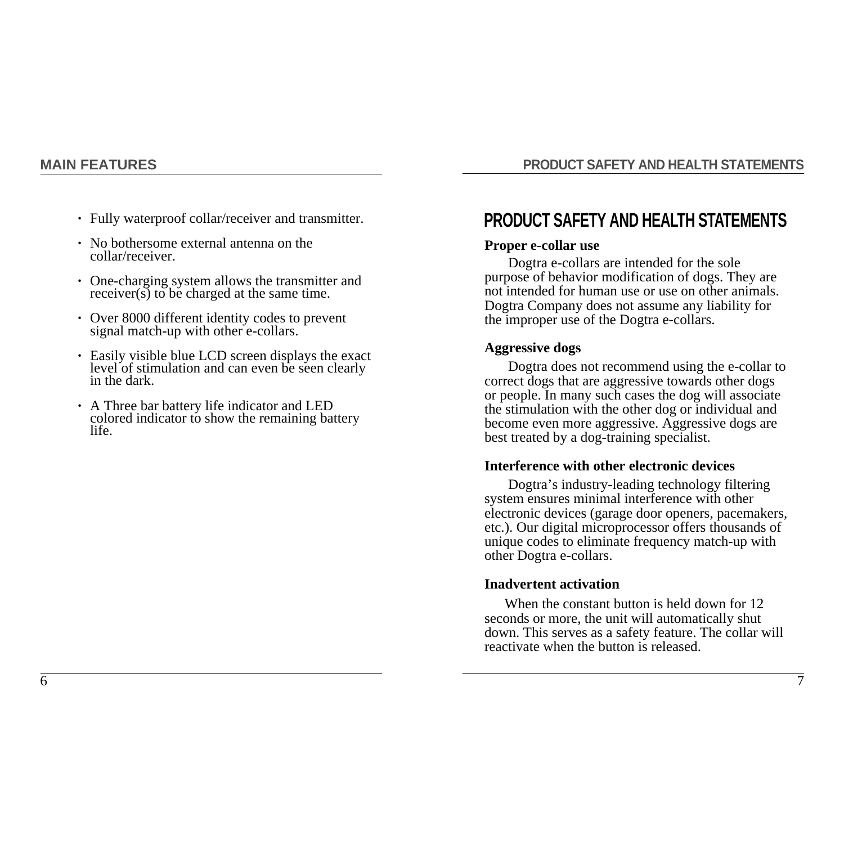**PRODUCT SAFETY AND HEALTH STATEMENTS**

- Fully waterproof collar/receiver and transmitter. •
- No bothersome external antenna on the collar/receiver.
- $receiver(s)$  to be charged at the same time. • One-charging system allows the transmitter and
- Over 8000 different identity codes to prevent signal match-up with other e-collars. •
- level of stimulation and can even be seen clearly in the dark. • Easily visible blue LCD screen displays the exact
- colored indicator to show the remaining battery life. • A Three bar battery life indicator and LED

# **PRODUCT SAFETY AND HEALTH STATEMENTS**

#### **Proper e-collar use**

Dogtra e-collars are intended for the sole purpose of behavior modification of dogs. They are not intended for human use or use on other animals. Dogtra Company does not assume any liability for the improper use of the Dogtra e-collars.

#### **Aggressive dogs**

Dogtra does not recommend using the e-collar to correct dogs that are aggressive towards other dogs or people. In many such cases the dog will associate the stimulation with the other dog or individual and become even more aggressive. Aggressive dogs are best treated by a dog-training specialist.

#### **Interference with other electronic devices**

Dogtra's industry-leading technology filtering system ensures minimal interference with other electronic devices (garage door openers, pacemakers, etc.). Our digital microprocessor offers thousands of unique codes to eliminate frequency match-up with other Dogtra e-collars.

#### **Inadvertent activation**

When the constant button is held down for 12 seconds or more, the unit will automatically shut down. This serves as a safety feature. The collar will reactivate when the button is released.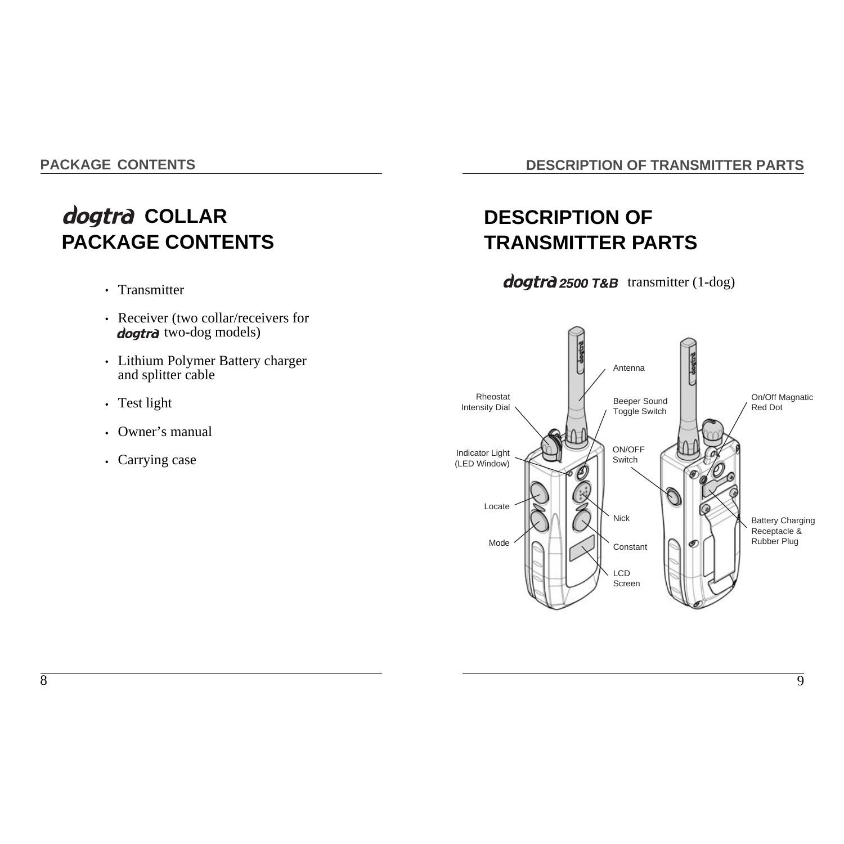**PACKAGE CONTENTS**

# dogtra COLLAR **PACKAGE CONTENTS**

- Transmitter
- Receiver (two collar/receivers for dogtra two-dog models)
- Lithium Polymer Battery charger and splitter cable
- Test light
- •Owner's manual
- Carrying case

## **DESCRIPTION OF TRANSMITTER PARTS**

# **DESCRIPTION OF TRANSMITTER PARTS**

 $d$ ogtr $d$  2500 T&B transmitter (1-dog)

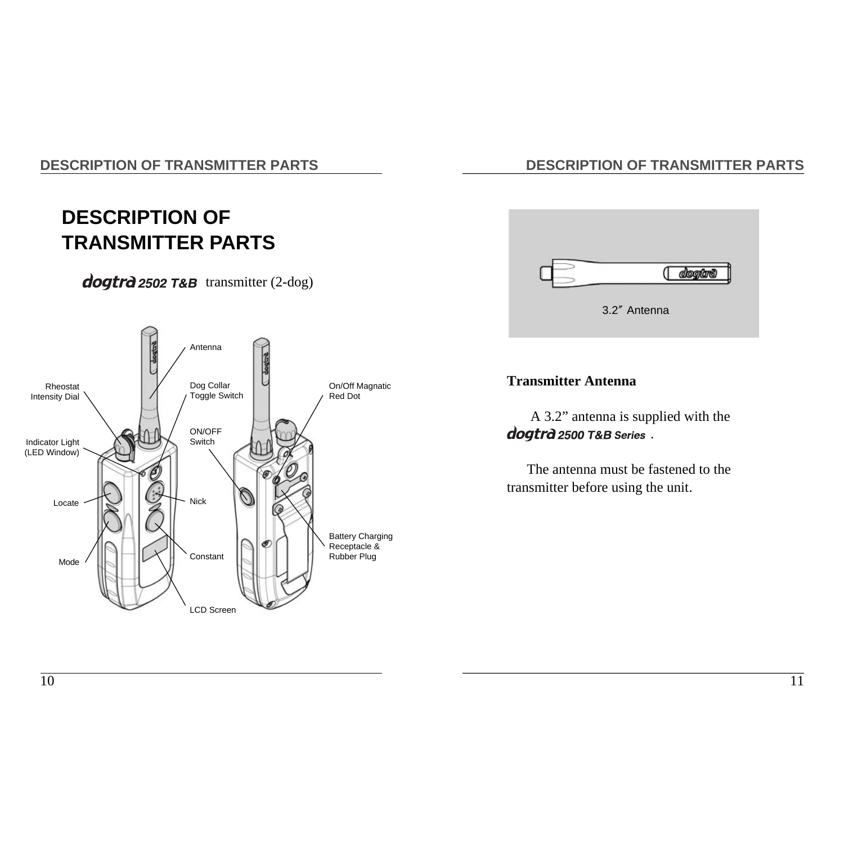# **DESCRIPTION OF TRANSMITTER PARTS**

# $d$ oqtr $d$  2502 T&B transmitter (2-dog)



# **DESCRIPTION OF TRANSMITTER PARTS**



# **Transmitter Antenna**

A 3.2" antenna is supplied with the dogtrà 2500 T&B Series.

The antenna must be fastened to the transmitter before using the unit.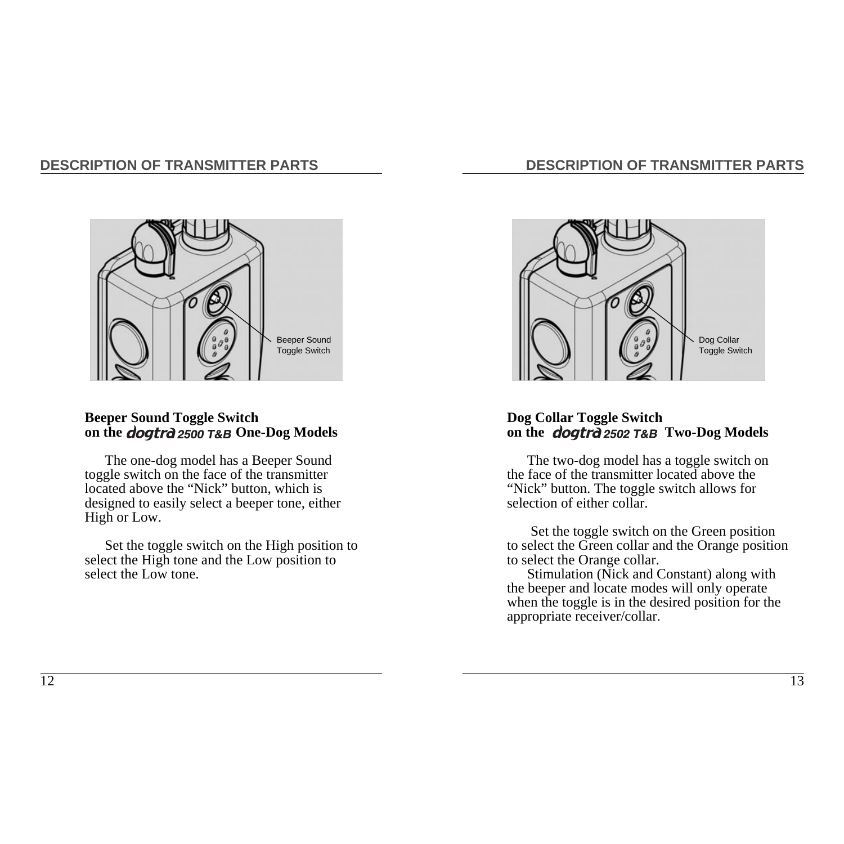# **DESCRIPTION OF TRANSMITTER PARTS**



### **Beeper Sound Toggle Switch** on the *doatrd* 2500 T&B One-Dog Models

The one-dog model has a Beeper Sound toggle switch on the face of the transmitter located above the "Nick" button, which is designed to easily select a beeper tone, either High or Low.

Set the toggle switch on the High position to select the High tone and the Low position to select the Low tone.



## **Dog Collar Toggle Switch**  on the *dogtrd* 2502 T&B Two-Dog Models

The two-dog model has a toggle switch on the face of the transmitter located above the "Nick" button. The toggle switch allows for selection of either collar.

Set the toggle switch on the Green position to select the Green collar and the Orange position to select the Orange collar.

Stimulation (Nick and Constant) along with the beeper and locate modes will only operate when the toggle is in the desired position for the appropriate receiver/collar.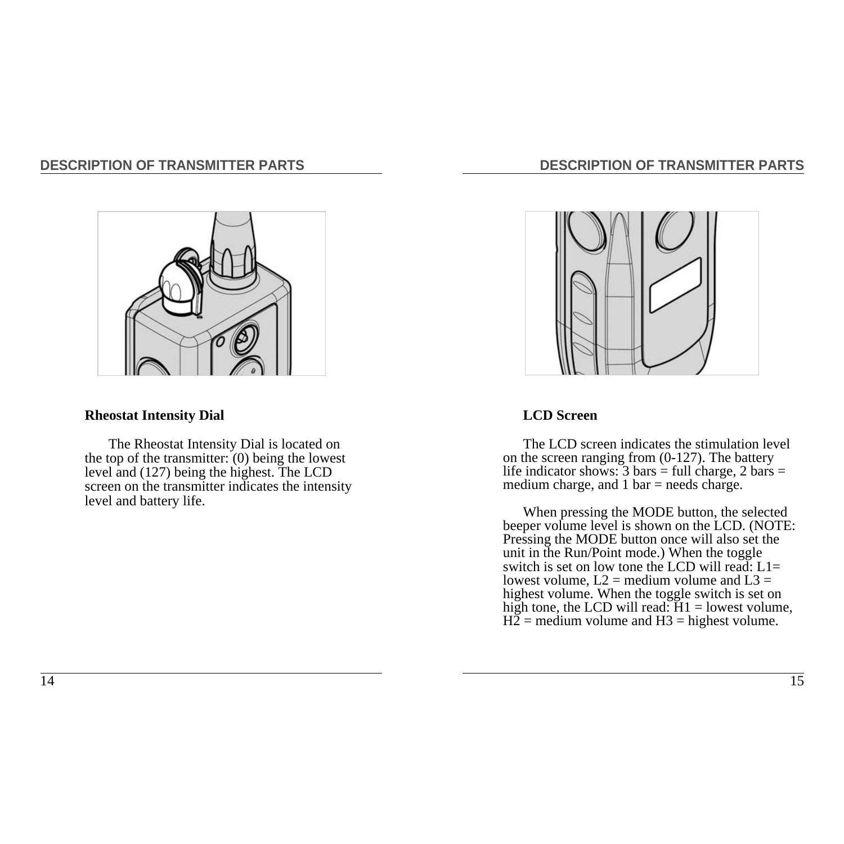

#### **Rheostat Intensity Dial**

The Rheostat Intensity Dial is located on the top of the transmitter:  $(0)$  being the lowest level and (127) being the highest. The LCD screen on the transmitter indicates the intensity level and battery life.

# **DESCRIPTION OF TRANSMITTER PARTS**



#### **LCD Screen**

The LCD screen indicates the stimulation level on the screen ranging from (0-127). The battery life indicator shows:  $3 \text{ bars} = \text{full charge}, 2 \text{ bars} =$ medium charge, and 1 bar = needs charge.

When pressing the MODE button, the selected beeper volume level is shown on the LCD. (NOTE: Pressing the MODE button once will also set the unit in the Run/Point mode.) When the toggle switch is set on low tone the LCD will read:  $L1=$ lowest volume,  $L2$  = medium volume and  $L3$  = highest volume. When the toggle switch is set on high tone, the LCD will read:  $H1 =$  lowest volume,  $H\overline{2}$  = medium volume and H3 = highest volume.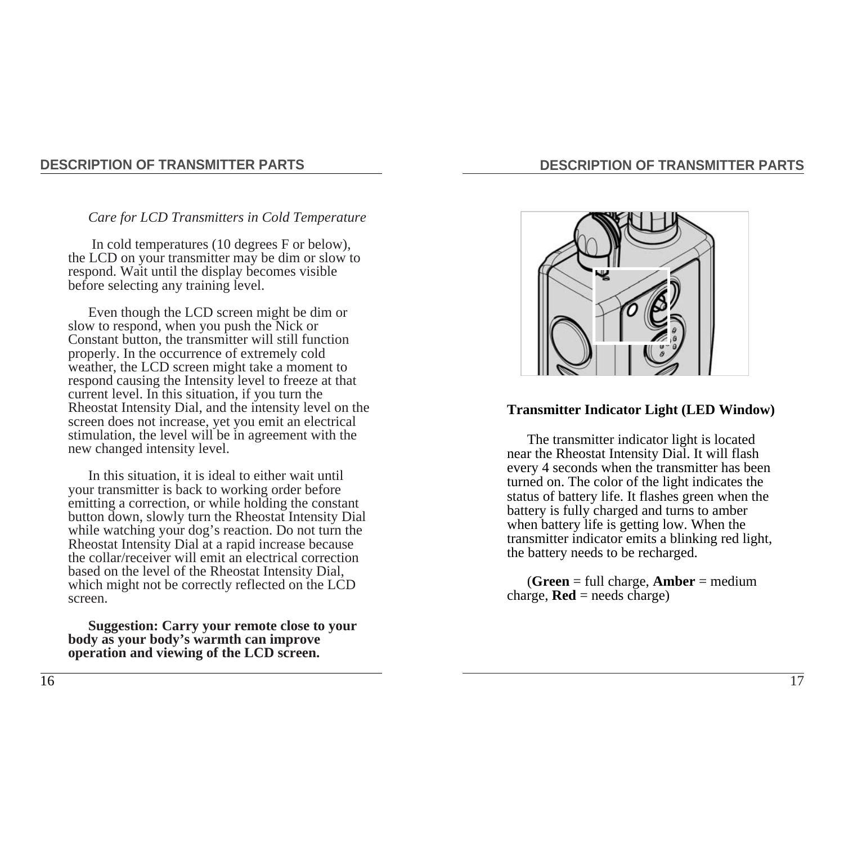## **DESCRIPTION OF TRANSMITTER PARTS**

#### *Care for LCD Transmitters in Cold Temperature*

In cold temperatures (10 degrees F or below), the LCD on your transmitter may be dim or slow to respond. Wait until the display becomes visible before selecting any training level.

Even though the LCD screen might be dim or slow to respond, when you push the Nick or Constant button, the transmitter will still function properly. In the occurrence of extremely cold weather, the LCD screen might take a moment to respond causing the Intensity level to freeze at that current level. In this situation, if you turn the Rheostat Intensity Dial, and the intensity level on the screen does not increase, yet you emit an electrical stimulation, the level will be in agreement with the new changed intensity level.

In this situation, it is ideal to either wait until your transmitter is back to working order before emitting a correction, or while holding the constant button down, slowly turn the Rheostat Intensity Dial while watching your dog's reaction. Do not turn the Rheostat Intensity Dial at a rapid increase because the collar/receiver will emit an electrical correction based on the level of the Rheostat Intensity Dial, which might not be correctly reflected on the LCD screen.

**Suggestion: Carry your remote close to your body as your body's warmth can improve operation and viewing of the LCD screen.** 



#### **Transmitter Indicator Light (LED Window)**

The transmitter indicator light is located near the Rheostat Intensity Dial. It will flash every 4 seconds when the transmitter has been turned on. The color of the light indicates the status of battery life. It flashes green when the battery is fully charged and turns to amber when battery life is getting low. When the transmitter indicator emits a blinking red light, the battery needs to be recharged.

(**Green** = full charge, **Amber** = medium charge,  $\text{Red}$  = needs charge)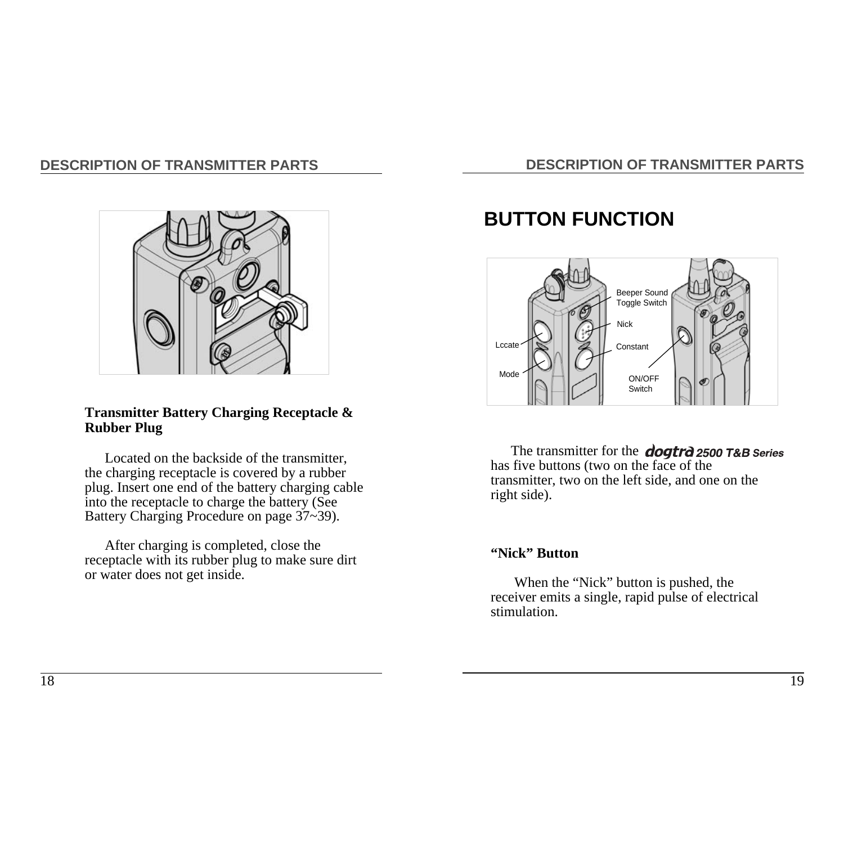



### **Transmitter Battery Charging Receptacle & Rubber Plug**

Located on the backside of the transmitter, the charging receptacle is covered by a rubber plug. Insert one end of the battery charging cable into the receptacle to charge the battery (See Battery Charging Procedure on page 37~39).

After charging is completed, close the receptacle with its rubber plug to make sure dirt or water does not get inside.

# **BUTTON FUNCTION**



The transmitter for the **dogtrd** 2500 T&B Series has five buttons (two on the face of the transmitter, two on the left side, and one on the right side).

### **"Nick" Button**

When the "Nick" button is pushed, the receiver emits a single, rapid pulse of electrical stimulation.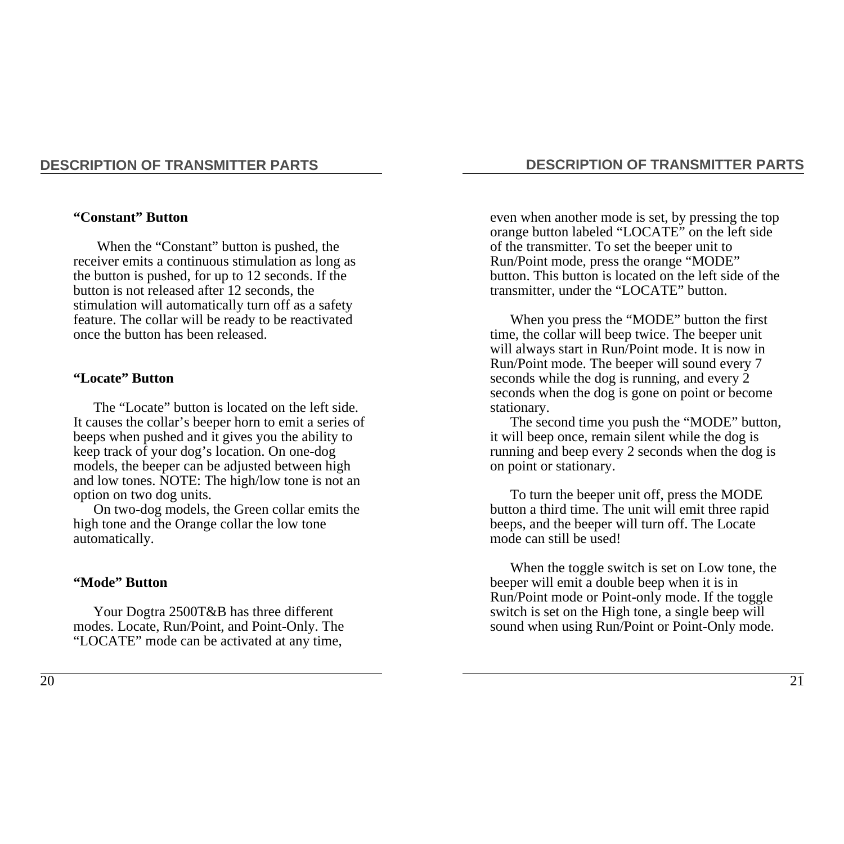#### **"Constant" Button**

When the "Constant" button is pushed, the receiver emits a continuous stimulation as long as the button is pushed, for up to 12 seconds. If the button is not released after 12 seconds, the stimulation will automatically turn off as a safety feature. The collar will be ready to be reactivated once the button has been released.

#### **"Locate" Button**

The "Locate" button is located on the left side. It causes the collar's beeper horn to emit a series of beeps when pushed and it gives you the ability to keep track of your dog's location. On one-dog models, the beeper can be adjusted between high and low tones. NOTE: The high/low tone is not an option on two dog units.

On two-dog models, the Green collar emits the high tone and the Orange collar the low tone automatically.

#### **"Mode" Button**

Your Dogtra 2500T&B has three different modes. Locate, Run/Point, and Point-Only. The "LOCATE" mode can be activated at any time,

#### **DESCRIPTION OF TRANSMITTER PARTS**

even when another mode is set, by pressing the top orange button labeled "LOCATE" on the left side of the transmitter. To set the beeper unit to Run/Point mode, press the orange "MODE" button. This button is located on the left side of the transmitter, under the "LOCATE" button.

When you press the "MODE" button the first time, the collar will beep twice. The beeper unit will always start in Run/Point mode. It is now in Run/Point mode. The beeper will sound every 7 seconds while the dog is running, and every 2 seconds when the dog is gone on point or become stationary.

The second time you push the "MODE" button, it will beep once, remain silent while the dog is running and beep every 2 seconds when the dog is on point or stationary.

To turn the beeper unit off, press the MODE button a third time. The unit will emit three rapid beeps, and the beeper will turn off. The Locate mode can still be used!

When the toggle switch is set on Low tone, the beeper will emit a double beep when it is in Run/Point mode or Point-only mode. If the toggle switch is set on the High tone, a single beep will sound when using Run/Point or Point-Only mode.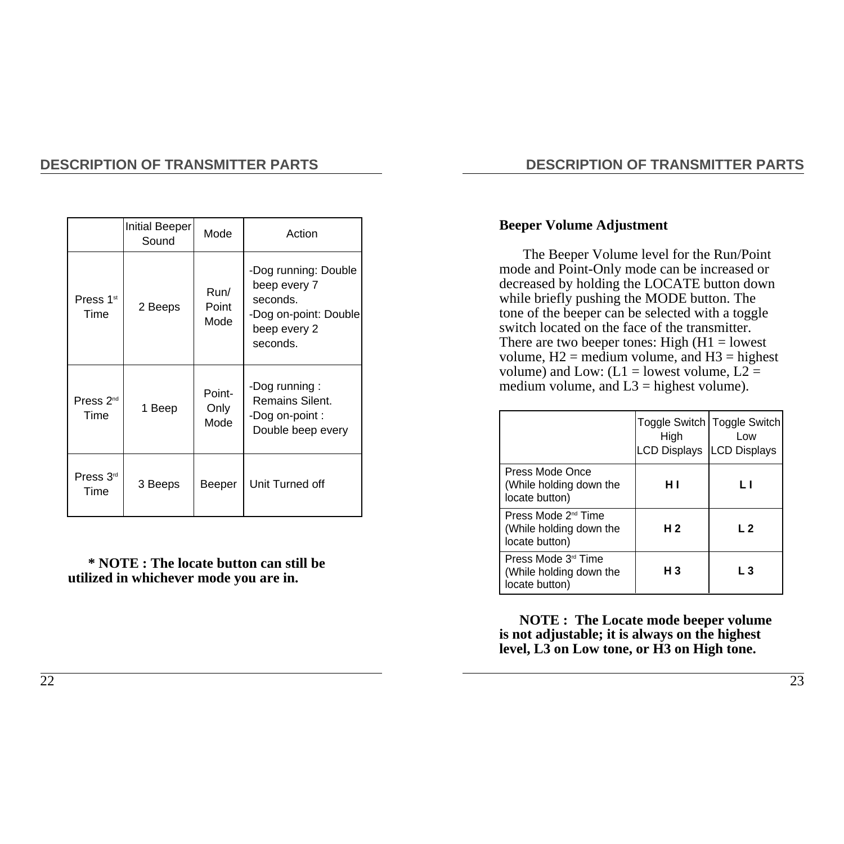|                               | Initial Beeper<br>Sound | Mode                   | Action                                                                                                |
|-------------------------------|-------------------------|------------------------|-------------------------------------------------------------------------------------------------------|
| Press 1 <sup>st</sup><br>Time | 2 Beeps                 | Run/<br>Point<br>Mode  | -Dog running: Double<br>beep every 7<br>seconds.<br>-Dog on-point: Double<br>beep every 2<br>seconds. |
| Press $2nd$<br>Time           | 1 Beep                  | Point-<br>Only<br>Mode | -Dog running:<br>Remains Silent.<br>-Dog on-point :<br>Double beep every                              |
| Press 3 <sup>rd</sup><br>Time | 3 Beeps                 | Beeper                 | Unit Turned off                                                                                       |

**\* NOTE : The locate button can still be utilized in whichever mode you are in.**

## **DESCRIPTION OF TRANSMITTER PARTS**

### **Beeper Volume Adjustment**

The Beeper Volume level for the Run/Point mode and Point-Only mode can be increased or decreased by holding the LOCATE button down while briefly pushing the MODE button. The tone of the beeper can be selected with a toggle switch located on the face of the transmitter. There are two beeper tones: High  $(H1 =$  lowest volume,  $H2$  = medium volume, and  $H3$  = highest volume) and Low: ( $L1 =$  lowest volume,  $L2 =$ medium volume, and  $L3$  = highest volume).

|                                                                              | High<br>LCD Displays   LCD Displays | Toggle Switch   Toggle Switch  <br>l ow |
|------------------------------------------------------------------------------|-------------------------------------|-----------------------------------------|
| Press Mode Once<br>(While holding down the<br>locate button)                 | н١                                  | ı ı                                     |
| Press Mode 2 <sup>nd</sup> Time<br>(While holding down the<br>locate button) | H 2                                 | L <sub>2</sub>                          |
| Press Mode 3 <sup>rd</sup> Time<br>(While holding down the<br>locate button) | H <sub>3</sub>                      | $L_3$                                   |

**NOTE : The Locate mode beeper volume is not adjustable; it is always on the highest level, L3 on Low tone, or H3 on High tone.**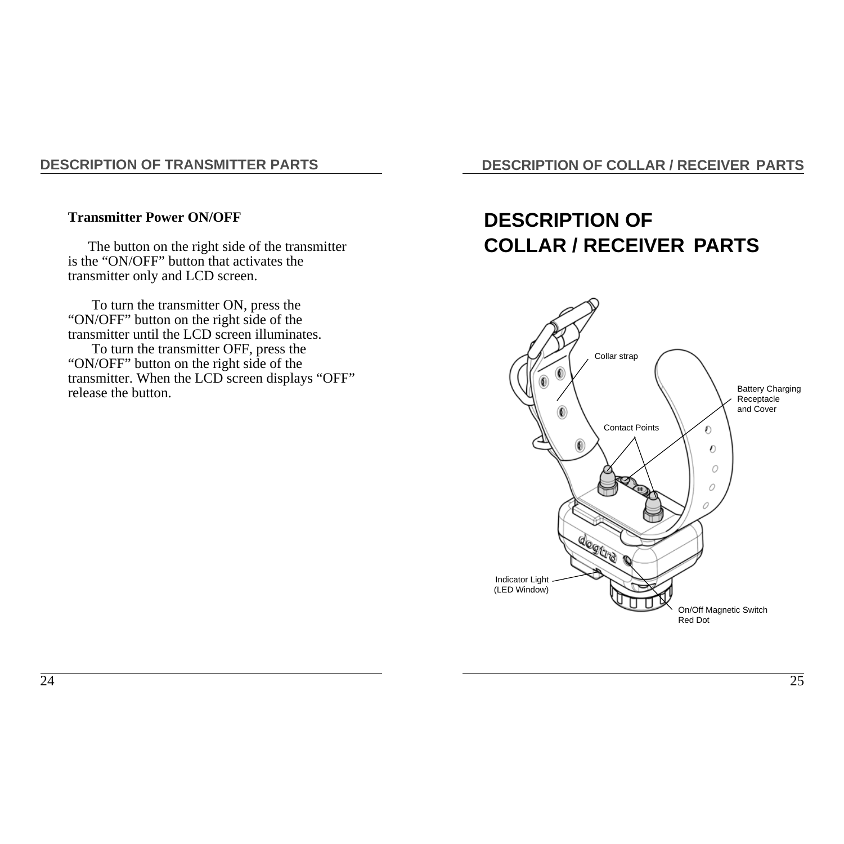#### **Transmitter Power ON/OFF**

The button on the right side of the transmitter is the "ON/OFF" button that activates the transmitter only and LCD screen.

To turn the transmitter ON, press the "ON/OFF" button on the right side of the transmitter until the LCD screen illuminates.

To turn the transmitter OFF, press the "ON/OFF" button on the right side of the transmitter. When the LCD screen displays "OFF" release the button.

**DESCRIPTION OF COLLAR / RECEIVER PARTS**

# **DESCRIPTION OF COLLAR / RECEIVER PARTS**

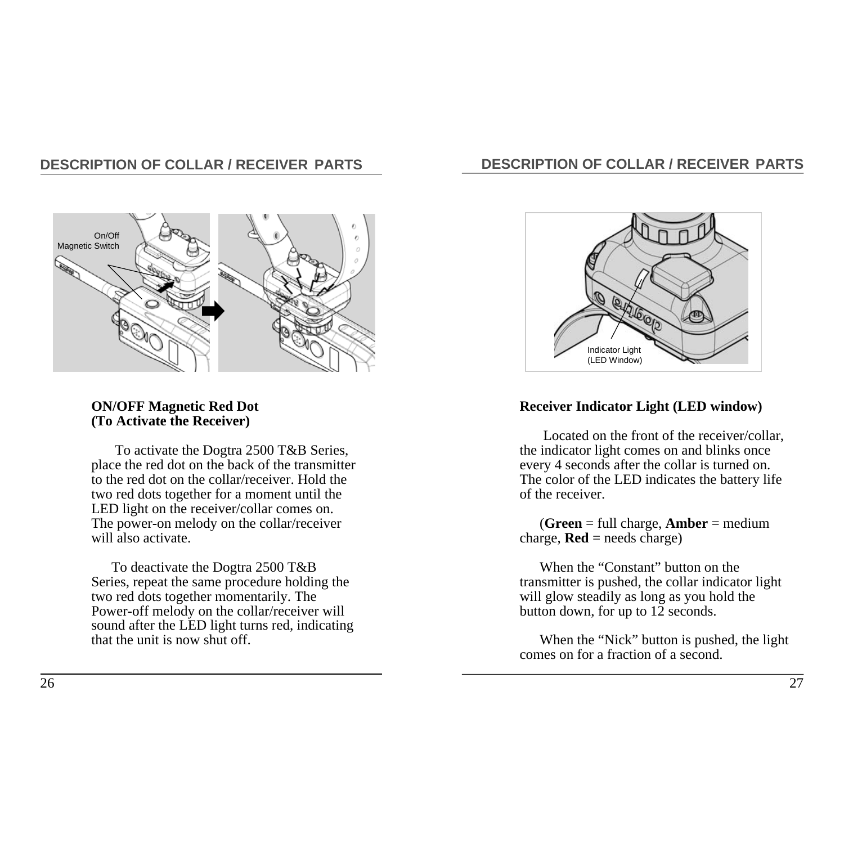# **DESCRIPTION OF COLLAR / RECEIVER PARTS**



#### **ON/OFF Magnetic Red Dot (To Activate the Receiver)**

To activate the Dogtra 2500 T&B Series, place the red dot on the back of the transmitter to the red dot on the collar/receiver. Hold the two red dots together for a moment until the LED light on the receiver/collar comes on. The power-on melody on the collar/receiver will also activate.

To deactivate the Dogtra 2500 T&B Series, repeat the same procedure holding the two red dots together momentarily. The Power-off melody on the collar/receiver will sound after the LED light turns red, indicating that the unit is now shut off.

## **DESCRIPTION OF COLLAR / RECEIVER PARTS**



### **Receiver Indicator Light (LED window)**

Located on the front of the receiver/collar, the indicator light comes on and blinks once every 4 seconds after the collar is turned on. The color of the LED indicates the battery life of the receiver.

(**Green** = full charge, **Amber** = medium charge,  $\text{Red} = \text{needs charge}$ 

When the "Constant" button on the transmitter is pushed, the collar indicator light will glow steadily as long as you hold the button down, for up to 12 seconds.

When the "Nick" button is pushed, the light comes on for a fraction of a second.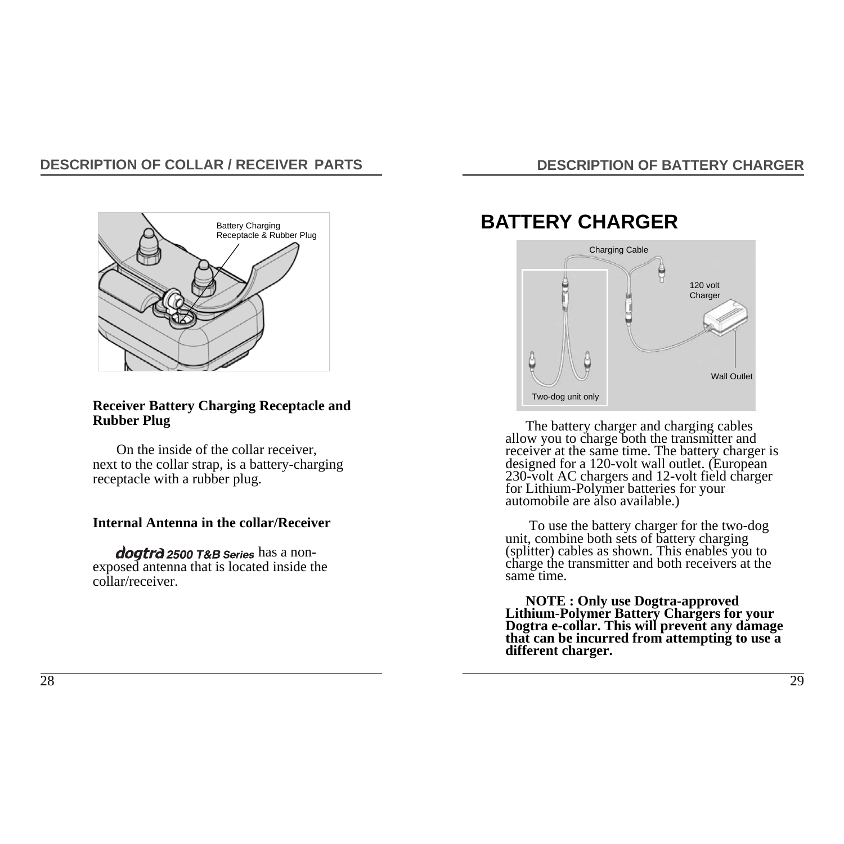# **DESCRIPTION OF COLLAR / RECEIVER PARTS**



#### **Receiver Battery Charging Receptacle and Rubber Plug**

On the inside of the collar receiver, next to the collar strap, is a battery-charging receptacle with a rubber plug.

### **Internal Antenna in the collar/Receiver**

dogtrà 2500 T&B Series has a nonexposed antenna that is located inside the collar/receiver.

# **DESCRIPTION OF BATTERY CHARGER**

# **BATTERY CHARGER**



The battery charger and charging cables<br>allow you to charge both the transmitter and<br>receiver at the same time. The battery charger is<br>designed for a 120-volt wall outlet. (European<br>230-volt AC chargers and 12-volt field c

To use the battery charger for the two-dog unit, combine both sets of battery charging (splitter) cables as shown. This enables you to charge the transmitter and both receivers at the same time.

**NOTE : Only use Dogtra-approved Lithium-Polymer Battery Chargers for your Dogtra e-collar. This will prevent any damage that can be incurred from attempting to use a different charger.**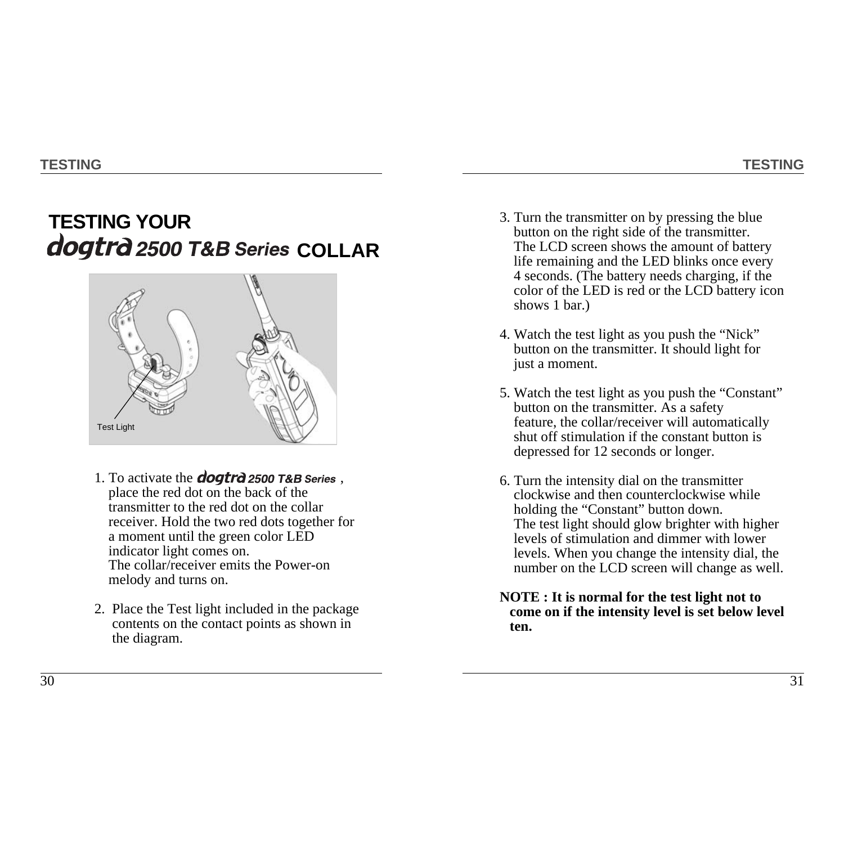# **TESTING YOUR** dogtrd 2500 T&B Series COLLAR



- 1. To activate the *dogtra* 2500 T&B Series, place the red dot on the back of the transmitter to the red dot on the collar receiver. Hold the two red dots together for a moment until the green color LED indicator light comes on. The collar/receiver emits the Power-on melody and turns on.
- 2. Place the Test light included in the package contents on the contact points as shown in the diagram.
- 3. Turn the transmitter on by pressing the blue button on the right side of the transmitter. The LCD screen shows the amount of battery life remaining and the LED blinks once every 4 seconds. (The battery needs charging, if the color of the LED is red or the LCD battery icon shows 1 bar.)
- 4. Watch the test light as you push the "Nick" button on the transmitter. It should light for just a moment.
- 5. Watch the test light as you push the "Constant" button on the transmitter. As a safety feature, the collar/receiver will automatically shut off stimulation if the constant button is depressed for 12 seconds or longer.
- 6. Turn the intensity dial on the transmitter clockwise and then counterclockwise while holding the "Constant" button down. The test light should glow brighter with higher levels of stimulation and dimmer with lower levels. When you change the intensity dial, the number on the LCD screen will change as well.
- **NOTE : It is normal for the test light not to come on if the intensity level is set below level ten.**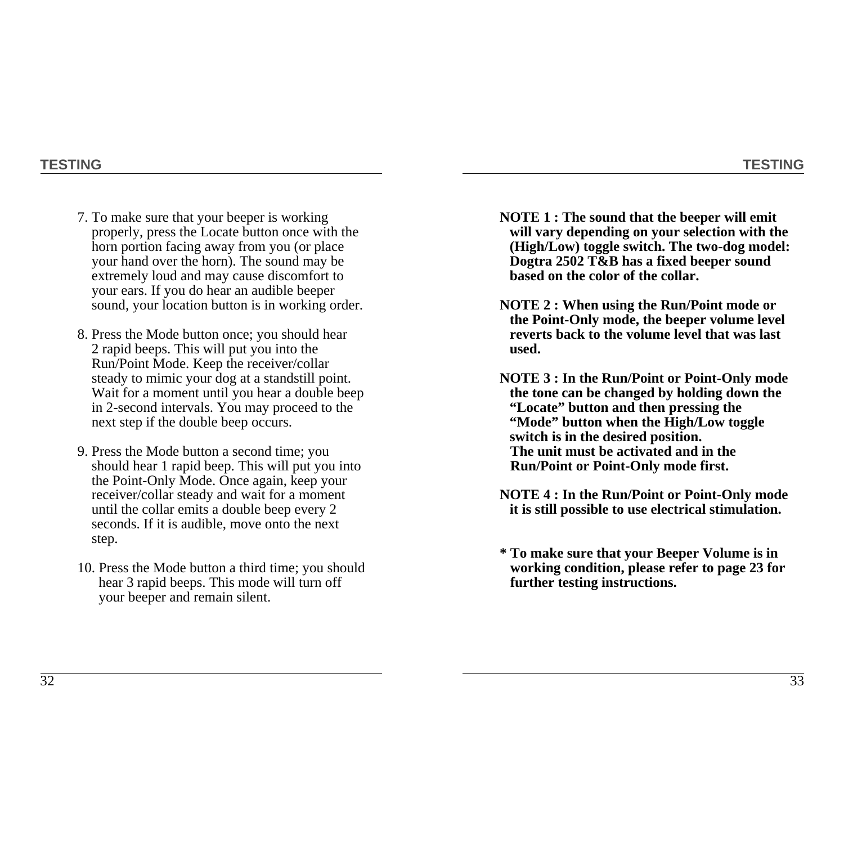### **TESTING**

- 7. To make sure that your beeper is working properly, press the Locate button once with the horn portion facing away from you (or place your hand over the horn). The sound may be extremely loud and may cause discomfort to your ears. If you do hear an audible beeper sound, your location button is in working order.
- 8. Press the Mode button once; you should hear 2 rapid beeps. This will put you into the Run/Point Mode. Keep the receiver/collar steady to mimic your dog at a standstill point. Wait for a moment until you hear a double beep in 2-second intervals. You may proceed to the next step if the double beep occurs.
- 9. Press the Mode button a second time; you should hear 1 rapid beep. This will put you into the Point-Only Mode. Once again, keep your receiver/collar steady and wait for a moment until the collar emits a double beep every 2 seconds. If it is audible, move onto the next step.
- 10. Press the Mode button a third time; you should hear 3 rapid beeps. This mode will turn off your beeper and remain silent.
- **NOTE 1 : The sound that the beeper will emit will vary depending on your selection with the (High/Low) toggle switch. The two-dog model: Dogtra 2502 T&B has a fixed beeper sound based on the color of the collar.**
- **NOTE 2 : When using the Run/Point mode or the Point-Only mode, the beeper volume level reverts back to the volume level that was last used.**
- **NOTE 3 : In the Run/Point or Point-Only mode the tone can be changed by holding down the "Locate" button and then pressing the "Mode" button when the High/Low toggle switch is in the desired position. The unit must be activated and in the Run/Point or Point-Only mode first.**
- **NOTE 4 : In the Run/Point or Point-Only mode it is still possible to use electrical stimulation.**
- **\* To make sure that your Beeper Volume is in working condition, please refer to page 23 for further testing instructions.**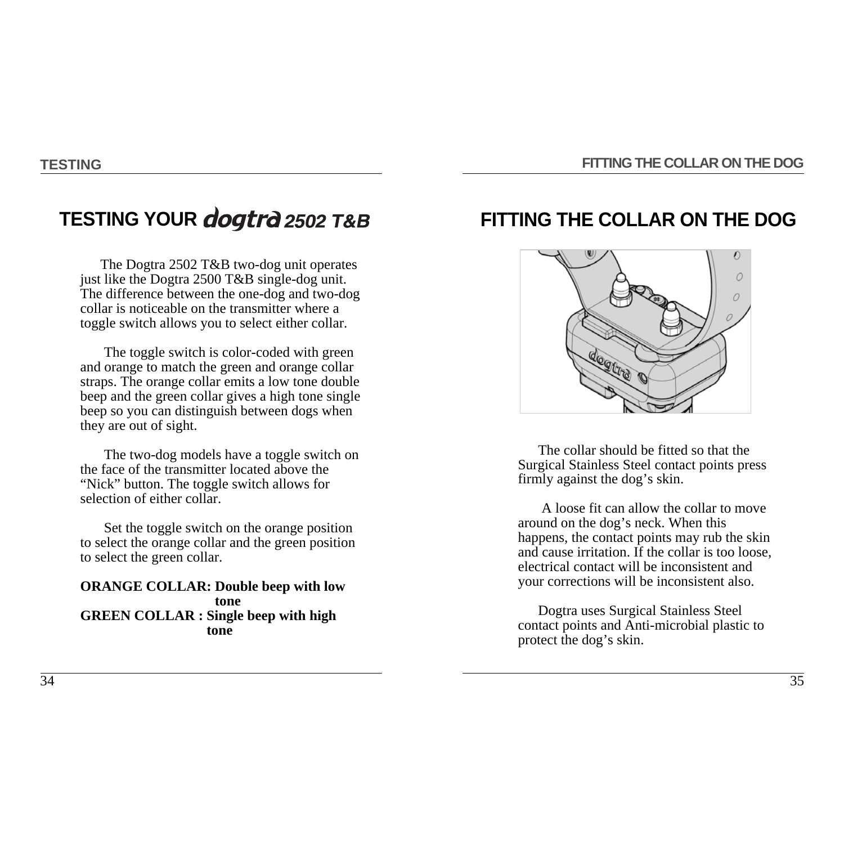# **TESTING YOUR**

The Dogtra 2502 T&B two-dog unit operates just like the Dogtra 2500 T&B single-dog unit. The difference between the one-dog and two-dog collar is noticeable on the transmitter where a toggle switch allows you to select either collar.

The toggle switch is color-coded with green and orange to match the green and orange collar straps. The orange collar emits a low tone double beep and the green collar gives a high tone single beep so you can distinguish between dogs when they are out of sight.

The two-dog models have a toggle switch on the face of the transmitter located above the "Nick" button. The toggle switch allows for selection of either collar.

Set the toggle switch on the orange position to select the orange collar and the green position to select the green collar.

**ORANGE COLLAR: Double beep with low tone GREEN COLLAR : Single beep with high tone**

# **FITTING THE COLLAR ON THE DOG**



The collar should be fitted so that the Surgical Stainless Steel contact points press firmly against the dog's skin.

A loose fit can allow the collar to move around on the dog's neck. When this happens, the contact points may rub the skin and cause irritation. If the collar is too loose, electrical contact will be inconsistent and your corrections will be inconsistent also.

Dogtra uses Surgical Stainless Steel contact points and Anti-microbial plastic to protect the dog's skin.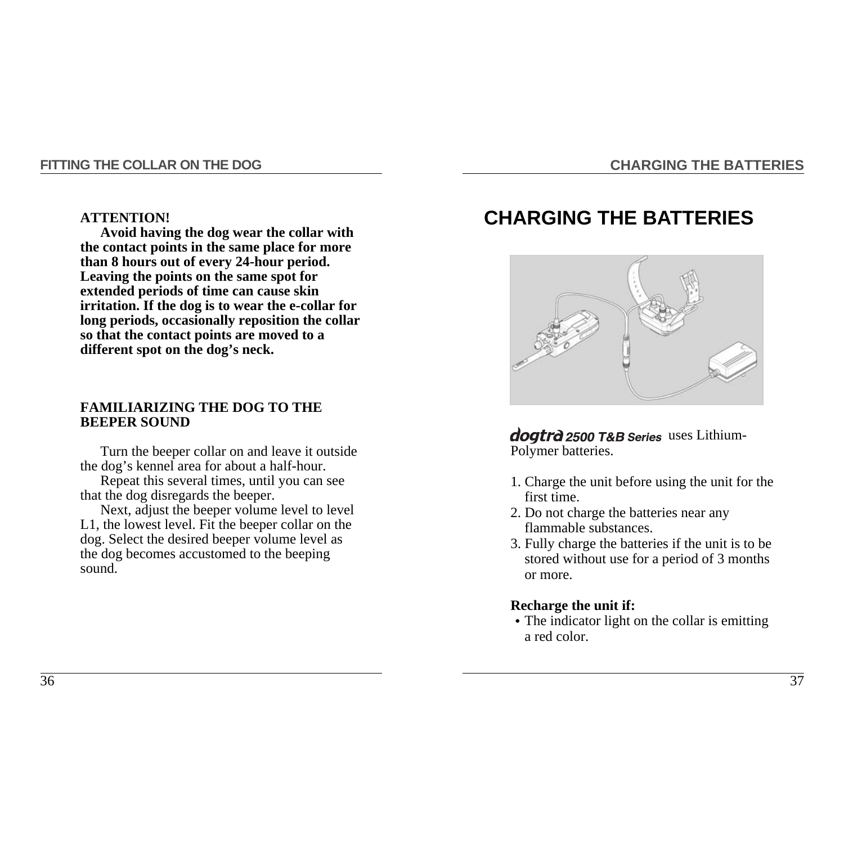#### **FITTING THE COLLAR ON THE DOG**

#### **CHARGING THE BATTERIES**

#### **ATTENTION!**

**Avoid having the dog wear the collar with the contact points in the same place for more than 8 hours out of every 24-hour period. Leaving the points on the same spot for extended periods of time can cause skin irritation. If the dog is to wear the e-collar for long periods, occasionally reposition the collar so that the contact points are moved to a different spot on the dog's neck.**

#### **FAMILIARIZING THE DOG TO THE BEEPER SOUND**

Turn the beeper collar on and leave it outside the dog's kennel area for about a half-hour.

Repeat this several times, until you can see that the dog disregards the beeper.

Next, adjust the beeper volume level to level L1, the lowest level. Fit the beeper collar on the dog. Select the desired beeper volume level as the dog becomes accustomed to the beeping sound.

# **CHARGING THE BATTERIES**



dogtrd 2500 T&B Series uses Lithium-Polymer batteries.

- 1. Charge the unit before using the unit for the first time.
- 2. Do not charge the batteries near any flammable substances.
- 3. Fully charge the batteries if the unit is to be stored without use for a period of 3 months or more.

#### **Recharge the unit if:**

• The indicator light on the collar is emitting a red color.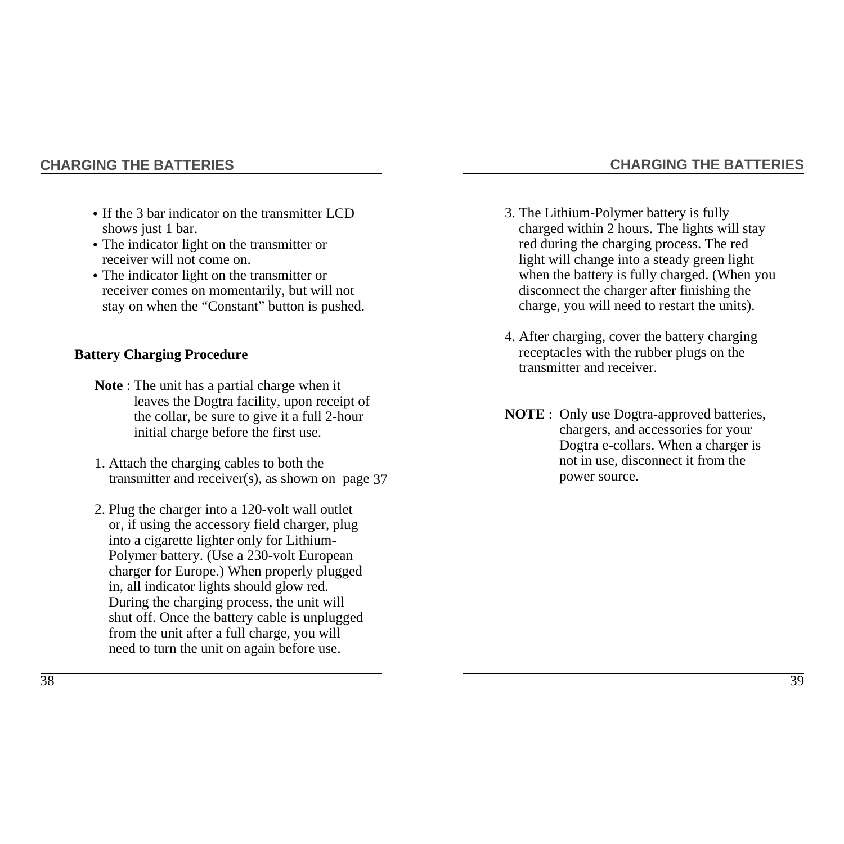### **CHARGING THE BATTERIES**

- If the 3 bar indicator on the transmitter LCD shows just 1 bar.
- •The indicator light on the transmitter or receiver will not come on.
- The indicator light on the transmitter or receiver comes on momentarily, but will not stay on when the "Constant" button is pushed.

## **Battery Charging Procedure**

- **Note** : The unit has a partial charge when it leaves the Dogtra facility, upon receipt of the collar, be sure to give it a full 2-hour initial charge before the first use.
- 1. Attach the charging cables to both the transmitter and receiver(s), as shown on page 37
- 2. Plug the charger into a 120-volt wall outlet or, if using the accessory field charger, plug into a cigarette lighter only for Lithium-Polymer battery. (Use a 230-volt European charger for Europe.) When properly plugged in, all indicator lights should glow red. During the charging process, the unit will shut off. Once the battery cable is unplugged from the unit after a full charge, you will need to turn the unit on again before use.

3. The Lithium-Polymer battery is fully charged within 2 hours. The lights will stay red during the charging process. The red light will change into a steady green light when the battery is fully charged. (When you disconnect the charger after finishing the charge, you will need to restart the units).

**CHARGING THE BATTERIES**

- 4. After charging, cover the battery charging receptacles with the rubber plugs on the transmitter and receiver.
- **NOTE** : Only use Dogtra-approved batteries, chargers, and accessories for your Dogtra e-collars. When a charger is not in use, disconnect it from the power source.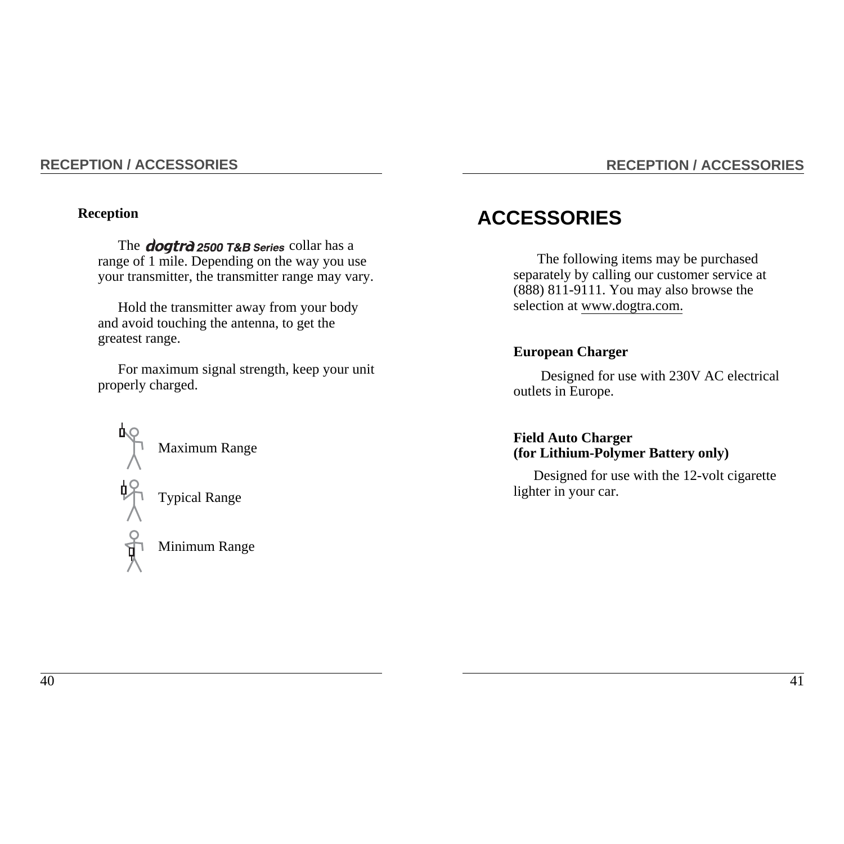#### **RECEPTION / ACCESSORIES**

### **Reception**

The **dogtrd** 2500 T&B Series collar has a range of 1 mile. Depending on the way you use your transmitter, the transmitter range may vary.

Hold the transmitter away from your body and avoid touching the antenna, to get the greatest range.

For maximum signal strength, keep your unit properly charged.



# **RECEPTION / ACCESSORIES**

# **ACCESSORIES**

The following items may be purchased separately by calling our customer service at (888) 811-9111. You may also browse the selection at www.dogtra.com.

#### **European Charger**

Designed for use with 230V AC electrical outlets in Europe.

### **Field Auto Charger (for Lithium-Polymer Battery only)**

Designed for use with the 12-volt cigarette lighter in your car.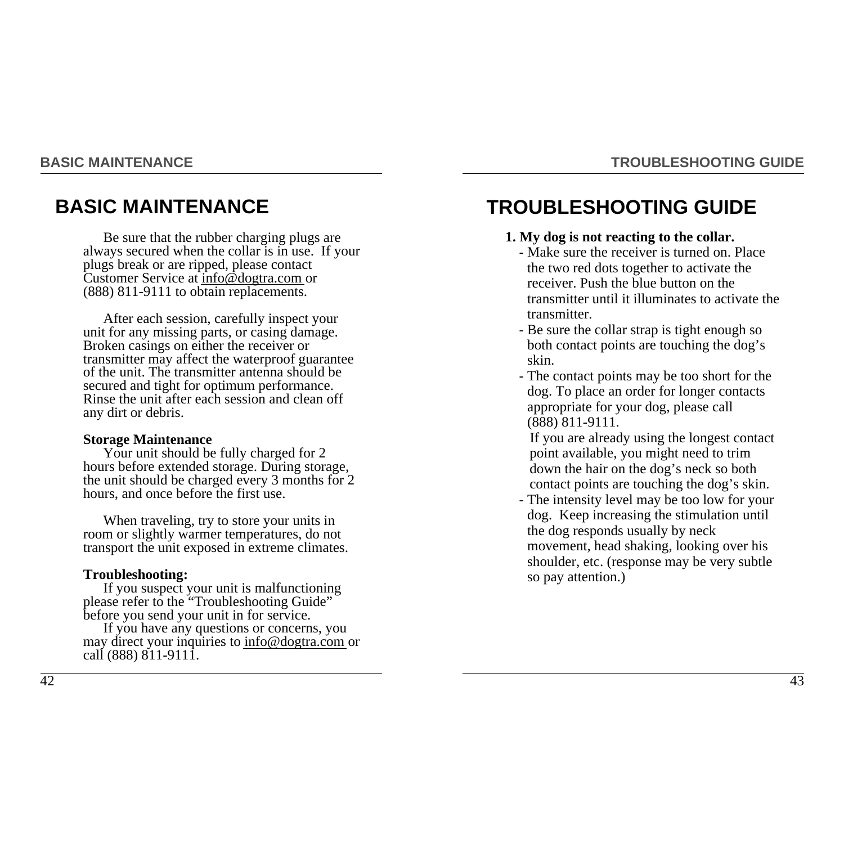# **TROUBLESHOOTING GUIDE**

# **BASIC MAINTENANCE**

Be sure that the rubber charging plugs are always secured when the collar is in use. If your plugs break or are ripped, please contact Customer Service at info@dogtra.com or (888) 811-9111 to obtain replacements.

After each session, carefully inspect your unit for any missing parts, or casing damage. Broken casings on either the receiver or transmitter may affect the waterproof guarantee of the unit. The transmitter antenna should be secured and tight for optimum performance. Rinse the unit after each session and clean off any dirt or debris.

#### **Storage Maintenance**

Your unit should be fully charged for 2 hours before extended storage. During storage, the unit should be charged every 3 months for 2 hours, and once before the first use.

When traveling, try to store your units in room or slightly warmer temperatures, do not transport the unit exposed in extreme climates.

#### **Troubleshooting:**

If you suspect your unit is malfunctioning please refer to the "Troubleshooting Guide" before you send your unit in for service.

If you have any questions or concerns, you may direct your inquiries to info@dogtra.com or call (888) 811-9111.

# **TROUBLESHOOTING GUIDE**

#### **1. My dog is not reacting to the collar.**

- Make sure the receiver is turned on. Place the two red dots together to activate the receiver. Push the blue button on the transmitter until it illuminates to activate the transmitter.
- Be sure the collar strap is tight enough so both contact points are touching the dog's skin.
- The contact points may be too short for the dog. To place an order for longer contacts appropriate for your dog, please call (888) 811-9111.

If you are already using the longest contact point available, you might need to trim down the hair on the dog's neck so both contact points are touching the dog's skin.

- The intensity level may be too low for your dog. Keep increasing the stimulation until the dog responds usually by neck movement, head shaking, looking over his shoulder, etc. (response may be very subtle so pay attention.)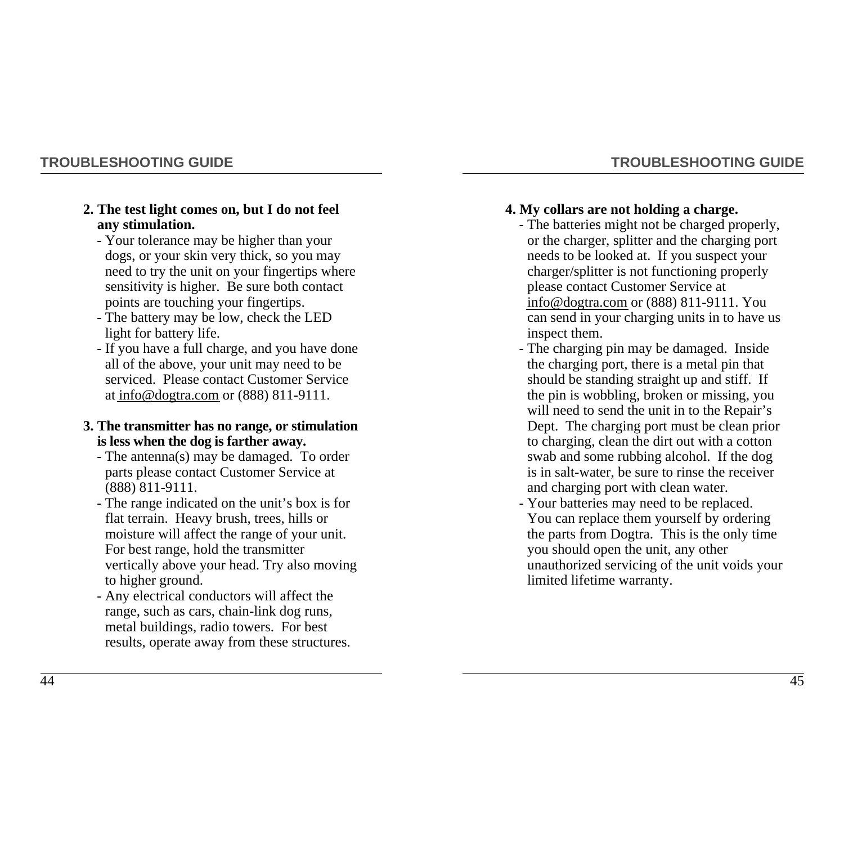### **TROUBLESHOOTING GUIDE**

#### **2. The test light comes on, but I do not feel any stimulation.**

- Your tolerance may be higher than your dogs, or your skin very thick, so you may need to try the unit on your fingertips where sensitivity is higher. Be sure both contact points are touching your fingertips.
- The battery may be low, check the LED light for battery life.
- If you have a full charge, and you have done all of the above, your unit may need to be serviced. Please contact Customer Service at info@dogtra.com or (888) 811-9111.

#### **3. The transmitter has no range, or stimulation is less when the dog is farther away.**

- The antenna(s) may be damaged. To order parts please contact Customer Service at (888) 811-9111.
- The range indicated on the unit's box is for flat terrain. Heavy brush, trees, hills or moisture will affect the range of your unit. For best range, hold the transmitter vertically above your head. Try also moving to higher ground.
- Any electrical conductors will affect the range, such as cars, chain-link dog runs, metal buildings, radio towers. For best results, operate away from these structures.

**TROUBLESHOOTING GUIDE**

#### **4. My collars are not holding a charge.** - The batteries might not be charged properly,

- or the charger, splitter and the charging port needs to be looked at. If you suspect your charger/splitter is not functioning properly please contact Customer Service at info@dogtra.com or (888) 811-9111. You can send in your charging units in to have us inspect them.
- The charging pin may be damaged. Inside the charging port, there is a metal pin that should be standing straight up and stiff. If the pin is wobbling, broken or missing, you will need to send the unit in to the Repair's Dept. The charging port must be clean prior to charging, clean the dirt out with a cotton swab and some rubbing alcohol. If the dog is in salt-water, be sure to rinse the receiver and charging port with clean water.
- Your batteries may need to be replaced. You can replace them yourself by ordering the parts from Dogtra. This is the only time you should open the unit, any other unauthorized servicing of the unit voids your limited lifetime warranty.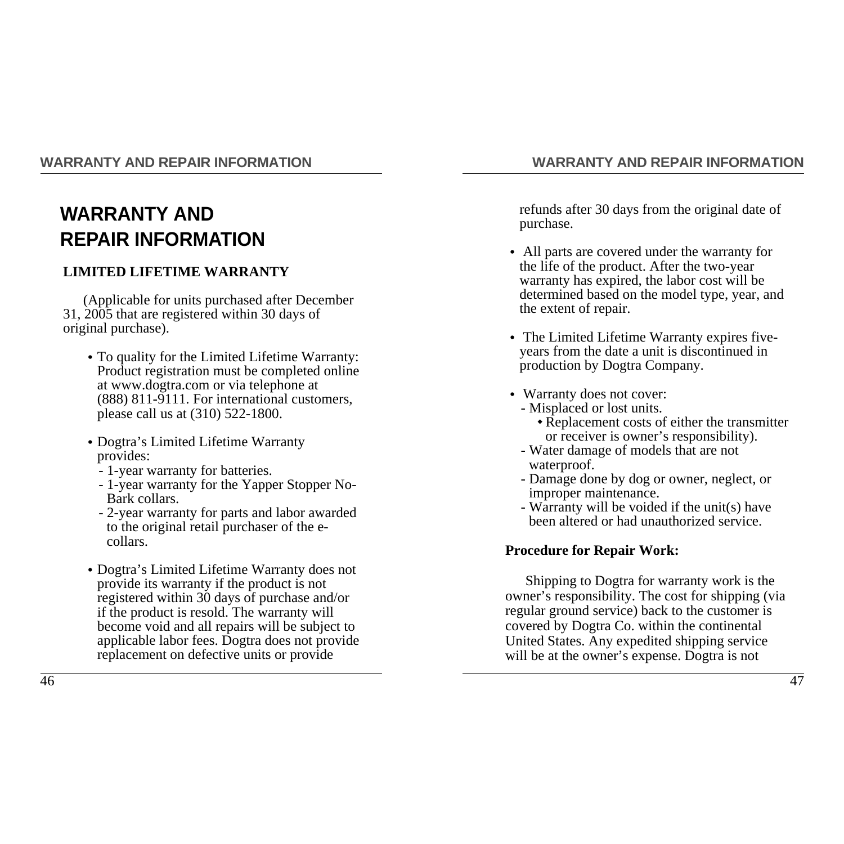### **WARRANTY AND REPAIR INFORMATION**

# **WARRANTY AND REPAIR INFORMATION**

### **LIMITED LIFETIME WARRANTY**

(Applicable for units purchased after December 31, 2005 that are registered within 30 days of original purchase).

- •To quality for the Limited Lifetime Warranty: Product registration must be completed online at www.dogtra.com or via telephone at (888) 811-9111. For international customers, please call us at (310) 522-1800.
- •Dogtra's Limited Lifetime Warranty provides:
	- 1-year warranty for batteries.
	- 1-year warranty for the Yapper Stopper No-Bark collars.
	- 2-year warranty for parts and labor awarded to the original retail purchaser of the ecollars.
- •Dogtra's Limited Lifetime Warranty does not provide its warranty if the product is not registered within 30 days of purchase and/or if the product is resold. The warranty will become void and all repairs will be subject to applicable labor fees. Dogtra does not provide replacement on defective units or provide

refunds after 30 days from the original date of purchase.

- All parts are covered under the warranty for the life of the product. After the two-year warranty has expired, the labor cost will be determined based on the model type, year, and the extent of repair.
- The Limited Lifetime Warranty expires fiveyears from the date a unit is discontinued in production by Dogtra Company.
- Warranty does not cover:
	- Misplaced or lost units.
		- ◆ Replacement costs of either the transmitter or receiver is owner's responsibility).
	- Water damage of models that are not waterproof.
	- Damage done by dog or owner, neglect, or improper maintenance.
	- Warranty will be voided if the unit(s) have been altered or had unauthorized service.

### **Procedure for Repair Work:**

Shipping to Dogtra for warranty work is the owner's responsibility. The cost for shipping (via regular ground service) back to the customer is covered by Dogtra Co. within the continental United States. Any expedited shipping service will be at the owner's expense. Dogtra is not